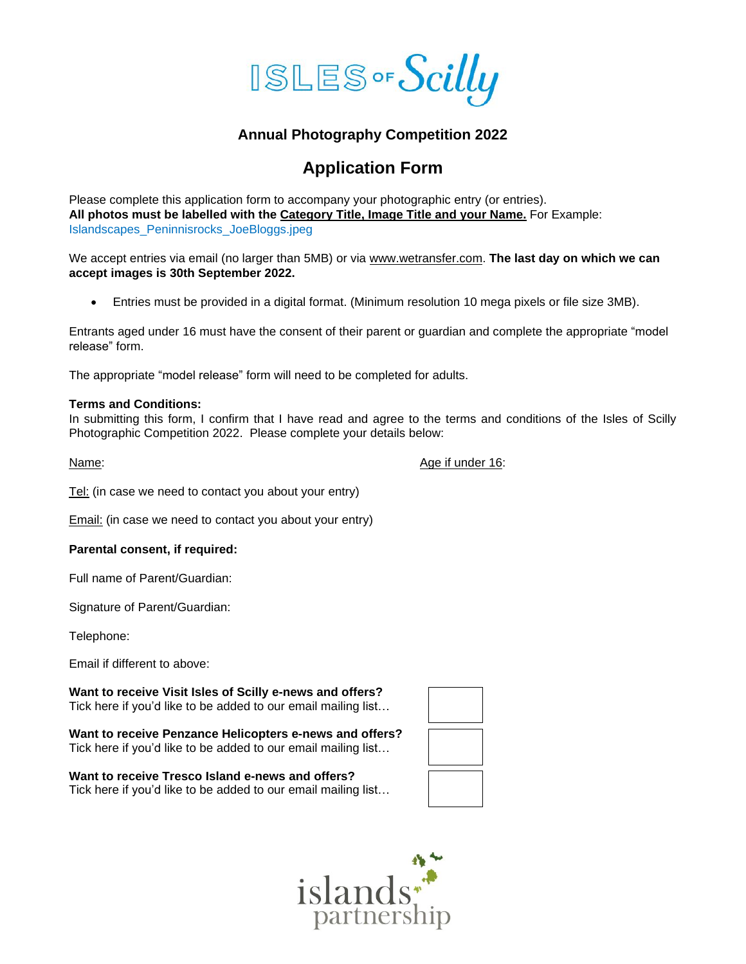

## **Annual Photography Competition 2022**

# **Application Form**

Please complete this application form to accompany your photographic entry (or entries). **All photos must be labelled with the Category Title, Image Title and your Name.** For Example: Islandscapes\_Peninnisrocks\_JoeBloggs.jpeg

We accept entries via email (no larger than 5MB) or via [www.wetransfer.com.](http://www.wetransfer.com/) **The last day on which we can accept images is 30th September 2022.**

• Entries must be provided in a digital format. (Minimum resolution 10 mega pixels or file size 3MB).

Entrants aged under 16 must have the consent of their parent or guardian and complete the appropriate "model release" form.

The appropriate "model release" form will need to be completed for adults.

#### **Terms and Conditions:**

In submitting this form, I confirm that I have read and agree to the terms and conditions of the Isles of Scilly Photographic Competition 2022. Please complete your details below:

Name:  $\blacksquare$  Age if under 16:

Tel: (in case we need to contact you about your entry)

Email: (in case we need to contact you about your entry)

### **Parental consent, if required:**

Full name of Parent/Guardian:

Signature of Parent/Guardian:

Telephone:

Email if different to above:

**Want to receive Visit Isles of Scilly e-news and offers?** Tick here if you'd like to be added to our email mailing list…

**Want to receive Penzance Helicopters e-news and offers?** Tick here if you'd like to be added to our email mailing list…

**Want to receive Tresco Island e-news and offers?** Tick here if you'd like to be added to our email mailing list…